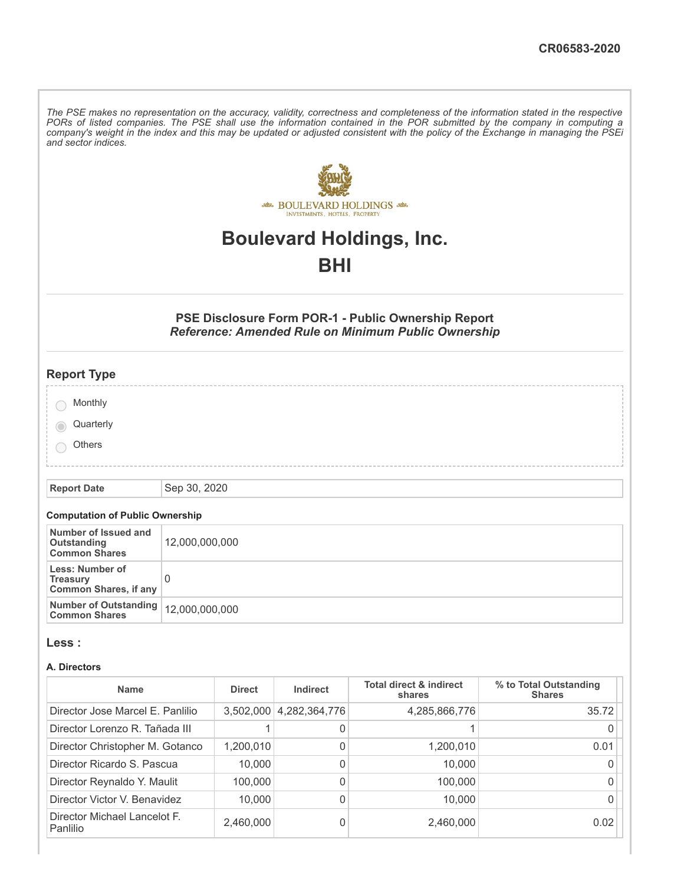The PSE makes no representation on the accuracy, validity, correctness and completeness of the information stated in the respective PORs of listed companies. The PSE shall use the information contained in the POR submitted by the company in computing a company's weight in the index and this may be updated or adjusted consistent with the policy of the Exchange in managing the PSEi *and sector indices.*



# **Boulevard Holdings, Inc.**

# **BHI**

## **PSE Disclosure Form POR-1 - Public Ownership Report** *Reference: Amended Rule on Minimum Public Ownership*

| <b>Report Type</b>                    |  |  |  |
|---------------------------------------|--|--|--|
|                                       |  |  |  |
| Monthly                               |  |  |  |
|                                       |  |  |  |
| Quarterly<br>$\overline{\phantom{0}}$ |  |  |  |
| Others                                |  |  |  |
|                                       |  |  |  |
|                                       |  |  |  |
|                                       |  |  |  |

**Report Date** Sep 30, 2020

### **Computation of Public Ownership**

| Number of Issued and<br>Outstanding<br><b>Common Shares</b>        | 12,000,000,000 |
|--------------------------------------------------------------------|----------------|
| Less: Number of<br><b>Treasury</b><br><b>Common Shares, if any</b> |                |
| Number of Outstanding   12,000,000,000<br><b>Common Shares</b>     |                |

#### **Less :**

#### **A. Directors**

| <b>Name</b>                              | <b>Direct</b> | Indirect      | <b>Total direct &amp; indirect</b><br>shares | % to Total Outstanding<br><b>Shares</b> |
|------------------------------------------|---------------|---------------|----------------------------------------------|-----------------------------------------|
| Director Jose Marcel E. Panlilio         | 3,502,000     | 4,282,364,776 | 4,285,866,776                                | 35.72                                   |
| Director Lorenzo R. Tañada III           |               | 0             |                                              |                                         |
| Director Christopher M. Gotanco          | 1,200,010     | 0             | 1,200,010                                    | 0.01                                    |
| Director Ricardo S. Pascua               | 10,000        | 0             | 10,000                                       |                                         |
| Director Reynaldo Y. Maulit              | 100.000       | 0             | 100,000                                      |                                         |
| Director Victor V. Benavidez             | 10,000        | 0             | 10,000                                       |                                         |
| Director Michael Lancelot F.<br>Panlilio | 2,460,000     | 0             | 2,460,000                                    | 0.02                                    |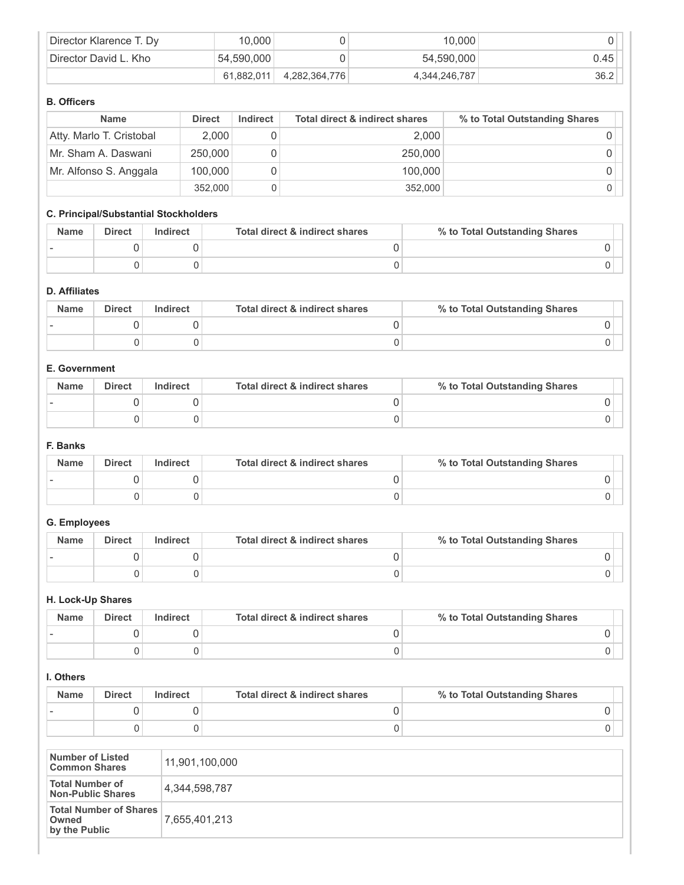| Director Klarence T. Dy | 10,000     |               | 10,000        |      |
|-------------------------|------------|---------------|---------------|------|
| Director David L. Kho   | 54,590,000 |               | 54,590,000    | 0.45 |
|                         | 61.882.011 | 4,282,364,776 | 4,344,246,787 | 36.2 |

#### **B. Officers**

| <b>Name</b>              | <b>Direct</b> | Indirect | <b>Total direct &amp; indirect shares</b> | % to Total Outstanding Shares |
|--------------------------|---------------|----------|-------------------------------------------|-------------------------------|
| Atty. Marlo T. Cristobal | 2,000         |          | 2.000                                     |                               |
| Mr. Sham A. Daswani      | 250,000       |          | 250,000                                   |                               |
| Mr. Alfonso S. Anggala   | 100,000       |          | 100,000                                   |                               |
|                          | 352,000       |          | 352,000                                   |                               |

# **C. Principal/Substantial Stockholders**

| <b>Name</b> | Direct | Indirect | Total direct & indirect shares | % to Total Outstanding Shares |
|-------------|--------|----------|--------------------------------|-------------------------------|
|             |        |          |                                |                               |
|             |        |          |                                |                               |

## **D. Affiliates**

| <b>Name</b> | <b>Direct</b> | Indirect | Total direct & indirect shares | % to Total Outstanding Shares |
|-------------|---------------|----------|--------------------------------|-------------------------------|
|             |               |          |                                |                               |
|             |               |          |                                |                               |

### **E. Government**

| <b>Name</b> | <b>Direct</b> | Indirect | Total direct & indirect shares | % to Total Outstanding Shares |
|-------------|---------------|----------|--------------------------------|-------------------------------|
|             |               |          |                                |                               |
|             |               |          |                                |                               |

#### **F. Banks**

| <b>Name</b> | <b>Direct</b> | Indirect | Total direct & indirect shares | % to Total Outstanding Shares |
|-------------|---------------|----------|--------------------------------|-------------------------------|
|             |               |          |                                |                               |
|             |               |          |                                |                               |

#### **G. Employees**

| <b>Name</b> | <b>Direct</b> | Indirect | Total direct & indirect shares | % to Total Outstanding Shares |
|-------------|---------------|----------|--------------------------------|-------------------------------|
|             |               |          |                                |                               |
|             |               |          |                                |                               |

#### **H. Lock-Up Shares**

| <b>Name</b> | <b>Direct</b> | <b>Indirect</b> | Total direct & indirect shares | % to Total Outstanding Shares |
|-------------|---------------|-----------------|--------------------------------|-------------------------------|
|             |               |                 |                                |                               |
|             |               |                 |                                |                               |

#### **I. Others**

| <b>Name</b> | <b>Direct</b> | Indirect | Total direct & indirect shares | % to Total Outstanding Shares |
|-------------|---------------|----------|--------------------------------|-------------------------------|
|             |               |          |                                |                               |
|             |               |          |                                |                               |

| Number of Listed<br><b>Common Shares</b>                | 11,901,100,000 |
|---------------------------------------------------------|----------------|
| <b>Total Number of</b><br><b>Non-Public Shares</b>      | 4,344,598,787  |
| <b>Total Number of Shares</b><br>Owned<br>by the Public | 7,655,401,213  |